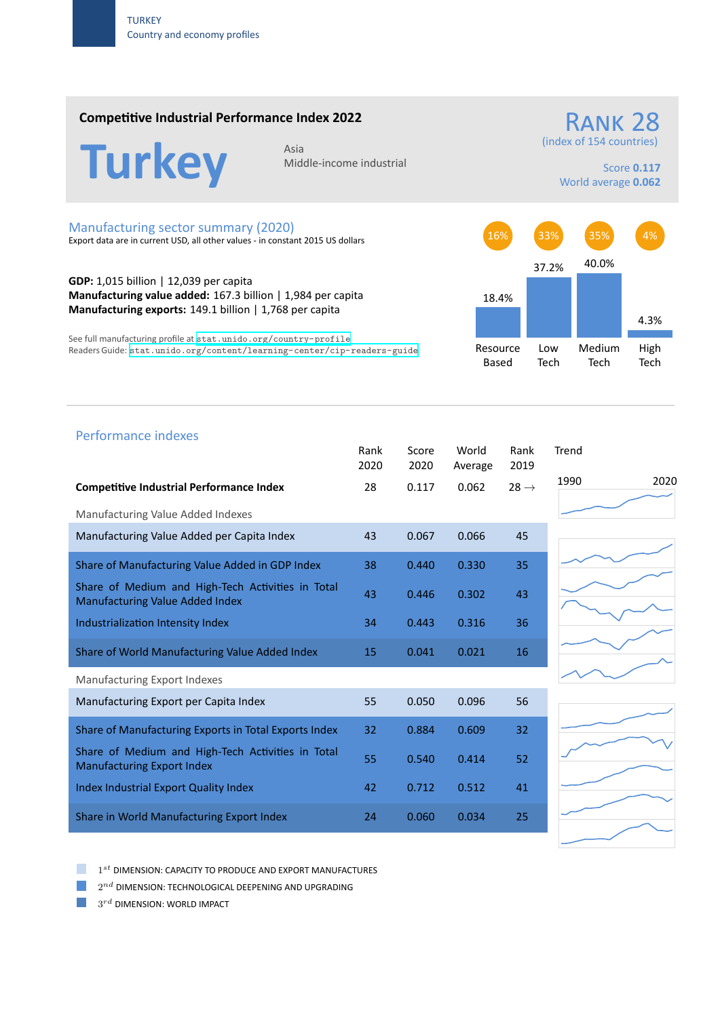### **Competitive Industrial Performance Index 2022**

# **Turkey**

Middle‐income industrial

(index of 154 countries)

Score **0.117** World average **0.062**

RANK 28

#### Manufacturing sector summary (2020)

Export data are in current USD, all other values ‐ in constant 2015 US dollars

**GDP:** 1,015 billion | 12,039 per capita **Manufacturing value added:** 167.3 billion | 1,984 per capita **Manufacturing exports:** 149.1 billion | 1,768 per capita

See full manufacturing profile at stat.unido.org/country-profile Readers Guide: stat.unido.org/content/learning-center/cip-readers-guide



## 1990 2020 Performance indexes Rank Score World Rank Trend 2020 2020 Average 2019 **Competitive Industrial Performance Index** 28 0.117 0.062 28 → Manufacturing Value Added Indexes Manufacturing Value Added per Capita Index  $43$  0.067 0.066 45 Share of Manufacturing Value Added in GDP Index 38 0.440 0.330 35 Share of Medium and High‐Tech Activities in Total Share of Medium and High-fech Activities in fotor 43 0.446 0.302 43 Industrialization Intensity Index 34 0.443 0.316 36 Share of World Manufacturing Value Added Index 15 0.041 0.021 16 Manufacturing Export Indexes Manufacturing Export per Capita Index 55 56 0.050 0.096 56 Share of Manufacturing Exports in Total Exports Index 32 0.884 0.609 32 Share of Medium and High‐Tech Activities in Total Share of Medium and High-fech Activities in fotor 55 0.540 0.414 52 Index Industrial Export Quality Index 42 0.712 0.512 41 Share in World Manufacturing Export Index 24 0.060 0.034 25

1 *st* DIMENSION: CAPACITY TO PRODUCE AND EXPORT MANUFACTURES

 $2^{nd}$  DIMENSION: TECHNOLOGICAL DEEPENING AND UPGRADING

 $3^{rd}$  DIMENSION: WORLD IMPACT